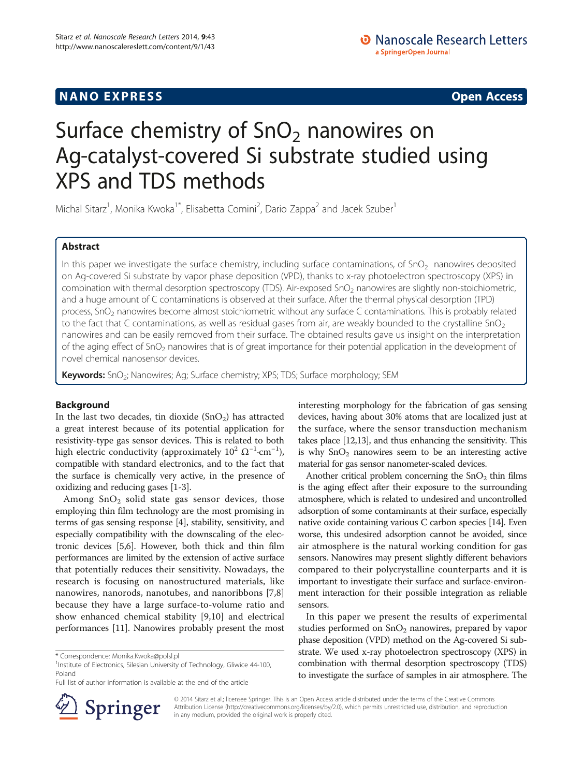## **NANO EXPRESS** CONSTRUCTION CONTINUES AND ACCESS COPEN ACCESS COPEN ACCESS COPEN ACCESS COPEN ACCESS COPEN ACCESS

# Surface chemistry of  $SnO<sub>2</sub>$  nanowires on Ag-catalyst-covered Si substrate studied using XPS and TDS methods

Michal Sitarz<sup>1</sup>, Monika Kwoka<sup>1\*</sup>, Elisabetta Comini<sup>2</sup>, Dario Zappa<sup>2</sup> and Jacek Szuber<sup>1</sup>

## Abstract

In this paper we investigate the surface chemistry, including surface contaminations, of  $SnO<sub>2</sub>$  nanowires deposited on Ag-covered Si substrate by vapor phase deposition (VPD), thanks to x-ray photoelectron spectroscopy (XPS) in combination with thermal desorption spectroscopy (TDS). Air-exposed SnO<sub>2</sub> nanowires are slightly non-stoichiometric, and a huge amount of C contaminations is observed at their surface. After the thermal physical desorption (TPD) process, SnO<sub>2</sub> nanowires become almost stoichiometric without any surface C contaminations. This is probably related to the fact that C contaminations, as well as residual gases from air, are weakly bounded to the crystalline  $SnO<sub>2</sub>$ nanowires and can be easily removed from their surface. The obtained results gave us insight on the interpretation of the aging effect of SnO<sub>2</sub> nanowires that is of great importance for their potential application in the development of novel chemical nanosensor devices.

Keywords: SnO<sub>2</sub>; Nanowires; Ag; Surface chemistry; XPS; TDS; Surface morphology; SEM

## Background

In the last two decades, tin dioxide  $(SnO<sub>2</sub>)$  has attracted a great interest because of its potential application for resistivity-type gas sensor devices. This is related to both high electric conductivity (approximately  $10^2 \Omega^{-1}$ ·cm<sup>-1</sup>), compatible with standard electronics, and to the fact that the surface is chemically very active, in the presence of oxidizing and reducing gases [\[1-3](#page-4-0)].

Among  $SnO<sub>2</sub>$  solid state gas sensor devices, those employing thin film technology are the most promising in terms of gas sensing response [\[4](#page-4-0)], stability, sensitivity, and especially compatibility with the downscaling of the electronic devices [\[5,6\]](#page-4-0). However, both thick and thin film performances are limited by the extension of active surface that potentially reduces their sensitivity. Nowadays, the research is focusing on nanostructured materials, like nanowires, nanorods, nanotubes, and nanoribbons [\[7,8](#page-4-0)] because they have a large surface-to-volume ratio and show enhanced chemical stability [\[9](#page-4-0),[10\]](#page-4-0) and electrical performances [[11\]](#page-4-0). Nanowires probably present the most

Full list of author information is available at the end of the article



interesting morphology for the fabrication of gas sensing devices, having about 30% atoms that are localized just at the surface, where the sensor transduction mechanism takes place [\[12,](#page-4-0)[13](#page-5-0)], and thus enhancing the sensitivity. This is why  $SnO<sub>2</sub>$  nanowires seem to be an interesting active material for gas sensor nanometer-scaled devices.

Another critical problem concerning the  $SnO<sub>2</sub>$  thin films is the aging effect after their exposure to the surrounding atmosphere, which is related to undesired and uncontrolled adsorption of some contaminants at their surface, especially native oxide containing various C carbon species [\[14\]](#page-5-0). Even worse, this undesired adsorption cannot be avoided, since air atmosphere is the natural working condition for gas sensors. Nanowires may present slightly different behaviors compared to their polycrystalline counterparts and it is important to investigate their surface and surface-environment interaction for their possible integration as reliable sensors.

In this paper we present the results of experimental studies performed on  $SnO<sub>2</sub>$  nanowires, prepared by vapor phase deposition (VPD) method on the Ag-covered Si substrate. We used x-ray photoelectron spectroscopy (XPS) in combination with thermal desorption spectroscopy (TDS) to investigate the surface of samples in air atmosphere. The

© 2014 Sitarz et al.; licensee Springer. This is an Open Access article distributed under the terms of the Creative Commons Attribution License [\(http://creativecommons.org/licenses/by/2.0\)](http://creativecommons.org/licenses/by/2.0), which permits unrestricted use, distribution, and reproduction in any medium, provided the original work is properly cited.

<sup>\*</sup> Correspondence: [Monika.Kwoka@polsl.pl](mailto:Monika.Kwoka@polsl.pl) <sup>1</sup>

<sup>&</sup>lt;sup>1</sup>Institute of Electronics, Silesian University of Technology, Gliwice 44-100, Poland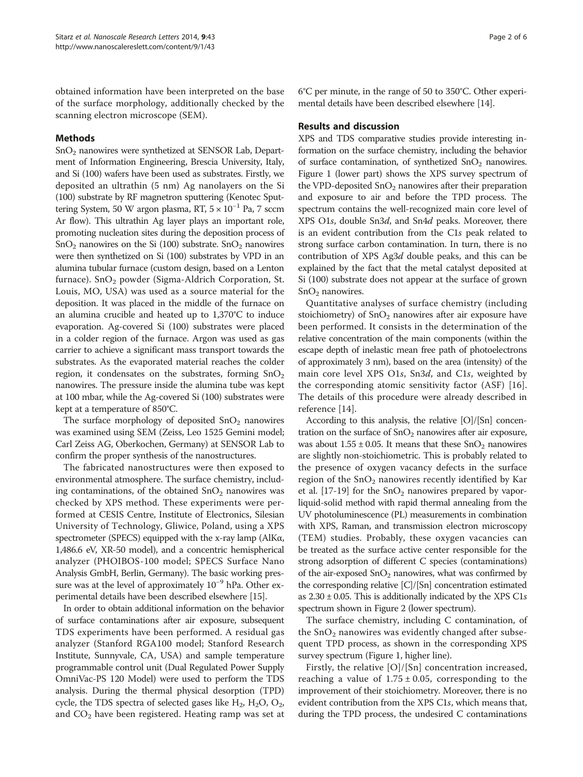obtained information have been interpreted on the base of the surface morphology, additionally checked by the scanning electron microscope (SEM).

## Methods

SnO2 nanowires were synthetized at SENSOR Lab, Department of Information Engineering, Brescia University, Italy, and Si (100) wafers have been used as substrates. Firstly, we deposited an ultrathin (5 nm) Ag nanolayers on the Si (100) substrate by RF magnetron sputtering (Kenotec Sputtering System, 50 W argon plasma, RT,  $5 \times 10^{-1}$  Pa, 7 sccm Ar flow). This ultrathin Ag layer plays an important role, promoting nucleation sites during the deposition process of  $SnO<sub>2</sub>$  nanowires on the Si (100) substrate.  $SnO<sub>2</sub>$  nanowires were then synthetized on Si (100) substrates by VPD in an alumina tubular furnace (custom design, based on a Lenton furnace).  $SnO<sub>2</sub>$  powder (Sigma-Aldrich Corporation, St. Louis, MO, USA) was used as a source material for the deposition. It was placed in the middle of the furnace on an alumina crucible and heated up to 1,370°C to induce evaporation. Ag-covered Si (100) substrates were placed in a colder region of the furnace. Argon was used as gas carrier to achieve a significant mass transport towards the substrates. As the evaporated material reaches the colder region, it condensates on the substrates, forming  $SnO<sub>2</sub>$ nanowires. The pressure inside the alumina tube was kept at 100 mbar, while the Ag-covered Si (100) substrates were kept at a temperature of 850°C.

The surface morphology of deposited  $SnO<sub>2</sub>$  nanowires was examined using SEM (Zeiss, Leo 1525 Gemini model; Carl Zeiss AG, Oberkochen, Germany) at SENSOR Lab to confirm the proper synthesis of the nanostructures.

The fabricated nanostructures were then exposed to environmental atmosphere. The surface chemistry, including contaminations, of the obtained  $SnO<sub>2</sub>$  nanowires was checked by XPS method. These experiments were performed at CESIS Centre, Institute of Electronics, Silesian University of Technology, Gliwice, Poland, using a XPS spectrometer (SPECS) equipped with the x-ray lamp (AlKα, 1,486.6 eV, XR-50 model), and a concentric hemispherical analyzer (PHOIBOS-100 model; SPECS Surface Nano Analysis GmbH, Berlin, Germany). The basic working pressure was at the level of approximately 10−<sup>9</sup> hPa. Other experimental details have been described elsewhere [\[15\]](#page-5-0).

In order to obtain additional information on the behavior of surface contaminations after air exposure, subsequent TDS experiments have been performed. A residual gas analyzer (Stanford RGA100 model; Stanford Research Institute, Sunnyvale, CA, USA) and sample temperature programmable control unit (Dual Regulated Power Supply OmniVac-PS 120 Model) were used to perform the TDS analysis. During the thermal physical desorption (TPD) cycle, the TDS spectra of selected gases like  $H_2$ ,  $H_2O$ ,  $O_2$ , and  $CO<sub>2</sub>$  have been registered. Heating ramp was set at 6°C per minute, in the range of 50 to 350°C. Other experimental details have been described elsewhere [[14](#page-5-0)].

## Results and discussion

XPS and TDS comparative studies provide interesting information on the surface chemistry, including the behavior of surface contamination, of synthetized  $SnO<sub>2</sub>$  nanowires. Figure [1](#page-2-0) (lower part) shows the XPS survey spectrum of the VPD-deposited  $SnO<sub>2</sub>$  nanowires after their preparation and exposure to air and before the TPD process. The spectrum contains the well-recognized main core level of XPS O1s, double Sn3d, and Sn4d peaks. Moreover, there is an evident contribution from the C1s peak related to strong surface carbon contamination. In turn, there is no contribution of XPS Ag3d double peaks, and this can be explained by the fact that the metal catalyst deposited at Si (100) substrate does not appear at the surface of grown  $SnO<sub>2</sub>$  nanowires.

Quantitative analyses of surface chemistry (including stoichiometry) of  $SnO<sub>2</sub>$  nanowires after air exposure have been performed. It consists in the determination of the relative concentration of the main components (within the escape depth of inelastic mean free path of photoelectrons of approximately 3 nm), based on the area (intensity) of the main core level XPS O1s, Sn3d, and C1s, weighted by the corresponding atomic sensitivity factor (ASF) [\[16](#page-5-0)]. The details of this procedure were already described in reference [[14](#page-5-0)].

According to this analysis, the relative [O]/[Sn] concentration on the surface of  $SnO<sub>2</sub>$  nanowires after air exposure, was about  $1.55 \pm 0.05$ . It means that these  $SnO<sub>2</sub>$  nanowires are slightly non-stoichiometric. This is probably related to the presence of oxygen vacancy defects in the surface region of the  $SnO<sub>2</sub>$  nanowires recently identified by Kar et al. [\[17-19\]](#page-5-0) for the  $SnO<sub>2</sub>$  nanowires prepared by vaporliquid-solid method with rapid thermal annealing from the UV photoluminescence (PL) measurements in combination with XPS, Raman, and transmission electron microscopy (TEM) studies. Probably, these oxygen vacancies can be treated as the surface active center responsible for the strong adsorption of different C species (contaminations) of the air-exposed  $SnO<sub>2</sub>$  nanowires, what was confirmed by the corresponding relative [C]/[Sn] concentration estimated as  $2.30 \pm 0.05$ . This is additionally indicated by the XPS C1s spectrum shown in Figure [2](#page-2-0) (lower spectrum).

The surface chemistry, including C contamination, of the  $SnO<sub>2</sub>$  nanowires was evidently changed after subsequent TPD process, as shown in the corresponding XPS survey spectrum (Figure [1](#page-2-0), higher line).

Firstly, the relative [O]/[Sn] concentration increased, reaching a value of  $1.75 \pm 0.05$ , corresponding to the improvement of their stoichiometry. Moreover, there is no evident contribution from the XPS C1s, which means that, during the TPD process, the undesired C contaminations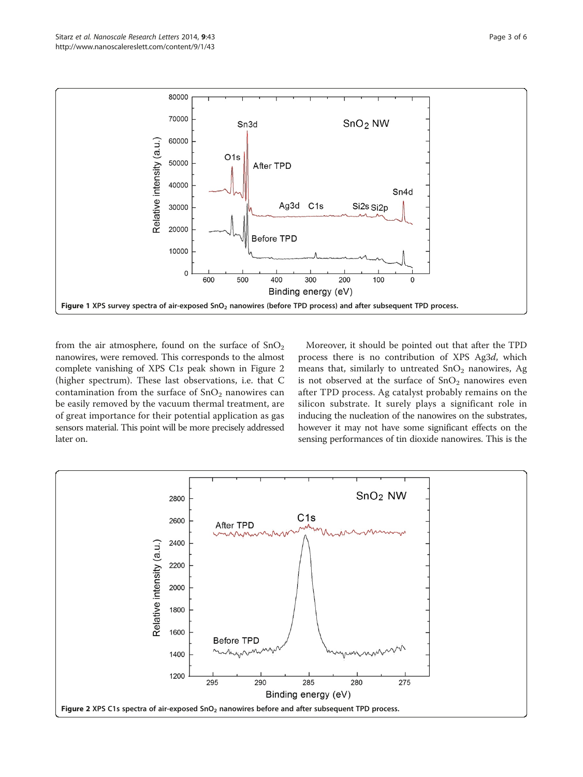<span id="page-2-0"></span>

from the air atmosphere, found on the surface of  $SnO<sub>2</sub>$ nanowires, were removed. This corresponds to the almost complete vanishing of XPS C1s peak shown in Figure 2 (higher spectrum). These last observations, i.e. that C contamination from the surface of  $SnO<sub>2</sub>$  nanowires can be easily removed by the vacuum thermal treatment, are of great importance for their potential application as gas sensors material. This point will be more precisely addressed later on.

Moreover, it should be pointed out that after the TPD process there is no contribution of XPS Ag3d, which means that, similarly to untreated  $SnO<sub>2</sub>$  nanowires, Ag is not observed at the surface of  $SnO<sub>2</sub>$  nanowires even after TPD process. Ag catalyst probably remains on the silicon substrate. It surely plays a significant role in inducing the nucleation of the nanowires on the substrates, however it may not have some significant effects on the sensing performances of tin dioxide nanowires. This is the

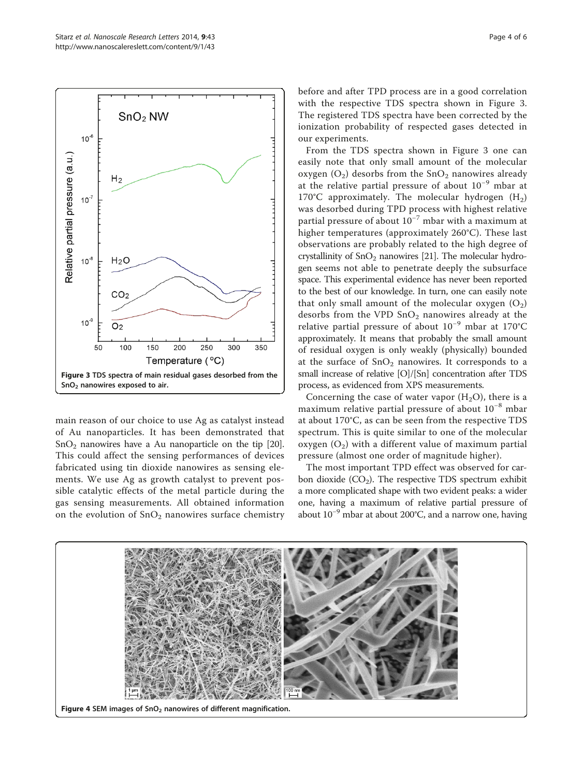<span id="page-3-0"></span>

main reason of our choice to use Ag as catalyst instead of Au nanoparticles. It has been demonstrated that  $SnO<sub>2</sub>$  nanowires have a Au nanoparticle on the tip [[20](#page-5-0)]. This could affect the sensing performances of devices fabricated using tin dioxide nanowires as sensing elements. We use Ag as growth catalyst to prevent possible catalytic effects of the metal particle during the gas sensing measurements. All obtained information on the evolution of  $SnO<sub>2</sub>$  nanowires surface chemistry before and after TPD process are in a good correlation with the respective TDS spectra shown in Figure 3. The registered TDS spectra have been corrected by the ionization probability of respected gases detected in our experiments.

From the TDS spectra shown in Figure 3 one can easily note that only small amount of the molecular oxygen  $(O_2)$  desorbs from the  $SnO_2$  nanowires already at the relative partial pressure of about 10−<sup>9</sup> mbar at 170°C approximately. The molecular hydrogen  $(H_2)$ was desorbed during TPD process with highest relative partial pressure of about  $10^{-7}$  mbar with a maximum at higher temperatures (approximately 260°C). These last observations are probably related to the high degree of crystallinity of  $SnO<sub>2</sub>$  nanowires [[21](#page-5-0)]. The molecular hydrogen seems not able to penetrate deeply the subsurface space. This experimental evidence has never been reported to the best of our knowledge. In turn, one can easily note that only small amount of the molecular oxygen  $(O_2)$ desorbs from the VPD  $SnO<sub>2</sub>$  nanowires already at the relative partial pressure of about 10−<sup>9</sup> mbar at 170°C approximately. It means that probably the small amount of residual oxygen is only weakly (physically) bounded at the surface of  $SnO<sub>2</sub>$  nanowires. It corresponds to a small increase of relative [O]/[Sn] concentration after TDS process, as evidenced from XPS measurements.

Concerning the case of water vapor  $(H<sub>2</sub>O)$ , there is a maximum relative partial pressure of about 10−<sup>8</sup> mbar at about 170°C, as can be seen from the respective TDS spectrum. This is quite similar to one of the molecular oxygen  $(O_2)$  with a different value of maximum partial pressure (almost one order of magnitude higher).

The most important TPD effect was observed for carbon dioxide  $(CO<sub>2</sub>)$ . The respective TDS spectrum exhibit a more complicated shape with two evident peaks: a wider one, having a maximum of relative partial pressure of about  $10^{-9}$  mbar at about 200°C, and a narrow one, having

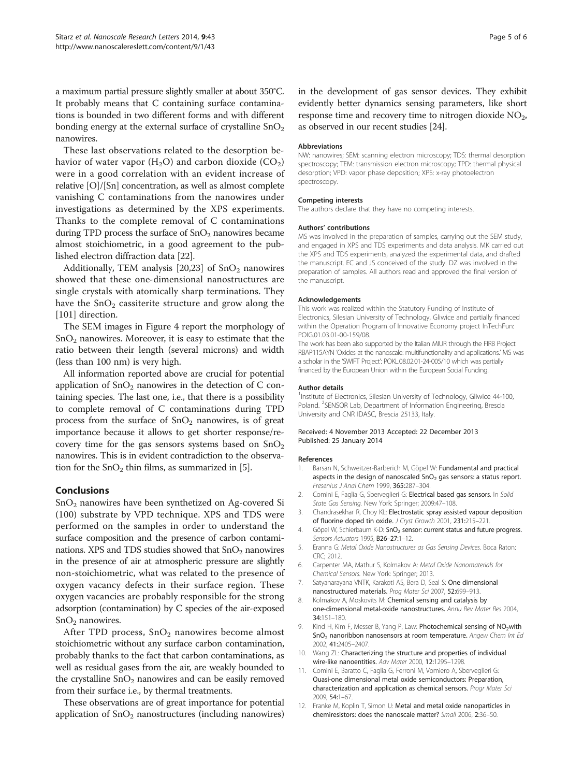<span id="page-4-0"></span>a maximum partial pressure slightly smaller at about 350°C. It probably means that C containing surface contaminations is bounded in two different forms and with different bonding energy at the external surface of crystalline  $SnO<sub>2</sub>$ nanowires.

These last observations related to the desorption behavior of water vapor  $(H_2O)$  and carbon dioxide  $(CO_2)$ were in a good correlation with an evident increase of relative [O]/[Sn] concentration, as well as almost complete vanishing C contaminations from the nanowires under investigations as determined by the XPS experiments. Thanks to the complete removal of C contaminations during TPD process the surface of  $SnO<sub>2</sub>$  nanowires became almost stoichiometric, in a good agreement to the published electron diffraction data [\[22\]](#page-5-0).

Additionally, TEM analysis  $[20,23]$  of  $SnO<sub>2</sub>$  nanowires showed that these one-dimensional nanostructures are single crystals with atomically sharp terminations. They have the  $SnO<sub>2</sub>$  cassiterite structure and grow along the [101] direction.

The SEM images in Figure [4](#page-3-0) report the morphology of  $SnO<sub>2</sub>$  nanowires. Moreover, it is easy to estimate that the ratio between their length (several microns) and width (less than 100 nm) is very high.

All information reported above are crucial for potential application of  $SnO<sub>2</sub>$  nanowires in the detection of C containing species. The last one, i.e., that there is a possibility to complete removal of C contaminations during TPD process from the surface of  $SnO<sub>2</sub>$  nanowires, is of great importance because it allows to get shorter response/recovery time for the gas sensors systems based on  $SnO<sub>2</sub>$ nanowires. This is in evident contradiction to the observation for the  $SnO<sub>2</sub>$  thin films, as summarized in [5].

### Conclusions

SnO2 nanowires have been synthetized on Ag-covered Si (100) substrate by VPD technique. XPS and TDS were performed on the samples in order to understand the surface composition and the presence of carbon contaminations. XPS and TDS studies showed that  $SnO<sub>2</sub>$  nanowires in the presence of air at atmospheric pressure are slightly non-stoichiometric, what was related to the presence of oxygen vacancy defects in their surface region. These oxygen vacancies are probably responsible for the strong adsorption (contamination) by C species of the air-exposed  $SnO<sub>2</sub>$  nanowires.

After TPD process,  $SnO<sub>2</sub>$  nanowires become almost stoichiometric without any surface carbon contamination, probably thanks to the fact that carbon contaminations, as well as residual gases from the air, are weakly bounded to the crystalline  $SnO<sub>2</sub>$  nanowires and can be easily removed from their surface i.e., by thermal treatments.

These observations are of great importance for potential application of  $SnO<sub>2</sub>$  nanostructures (including nanowires) in the development of gas sensor devices. They exhibit evidently better dynamics sensing parameters, like short response time and recovery time to nitrogen dioxide  $NO<sub>2</sub>$ , as observed in our recent studies [\[24\]](#page-5-0).

#### Abbreviations

NW: nanowires; SEM: scanning electron microscopy; TDS: thermal desorption spectroscopy; TEM: transmission electron microscopy; TPD: thermal physical desorption; VPD: vapor phase deposition; XPS: x-ray photoelectron spectroscopy.

#### Competing interests

The authors declare that they have no competing interests.

#### Authors' contributions

MS was involved in the preparation of samples, carrying out the SEM study, and engaged in XPS and TDS experiments and data analysis. MK carried out the XPS and TDS experiments, analyzed the experimental data, and drafted the manuscript. EC and JS conceived of the study. DZ was involved in the preparation of samples. All authors read and approved the final version of the manuscript.

#### Acknowledgements

This work was realized within the Statutory Funding of Institute of Electronics, Silesian University of Technology, Gliwice and partially financed within the Operation Program of Innovative Economy project InTechFun: POIG.01.03.01-00-159/08.

The work has been also supported by the Italian MIUR through the FIRB Project RBAP115AYN 'Oxides at the nanoscale: multifunctionality and applications.' MS was a scholar in the 'SWIFT Project': POKL.08.02.01-24-005/10 which was partially financed by the European Union within the European Social Funding.

#### Author details

<sup>1</sup>Institute of Electronics, Silesian University of Technology, Gliwice 44-100, Poland. <sup>2</sup>SENSOR Lab, Department of Information Engineering, Brescia University and CNR IDASC, Brescia 25133, Italy.

#### Received: 4 November 2013 Accepted: 22 December 2013 Published: 25 January 2014

#### References

- 1. Barsan N, Schweitzer-Barberich M, Göpel W: Fundamental and practical aspects in the design of nanoscaled  $SnO<sub>2</sub>$  gas sensors: a status report. Fresenius J Anal Chem 1999, 365:287–304.
- 2. Comini E, Faglia G, Sberveglieri G: Electrical based gas sensors. In Solid State Gas Sensing. New York: Springer; 2009:47–108.
- 3. Chandrasekhar R, Choy KL: Electrostatic spray assisted vapour deposition of fluorine doped tin oxide. J Cryst Growth 2001, 231:215–221.
- 4. Göpel W, Schierbaum K-D: SnO<sub>2</sub> sensor: current status and future progress. Sensors Actuators 1995, B26–27:1–12.
- 5. Eranna G: Metal Oxide Nanostructures as Gas Sensing Devices. Boca Raton: CRC; 2012.
- 6. Carpenter MA, Mathur S, Kolmakov A: Metal Oxide Nanomaterials for Chemical Sensors. New York: Springer; 2013.
- 7. Satyanarayana VNTK, Karakoti AS, Bera D, Seal S: One dimensional nanostructured materials. Prog Mater Sci 2007, 52:699–913.
- 8. Kolmakov A, Moskovits M: Chemical sensing and catalysis by one-dimensional metal-oxide nanostructures. Annu Rev Mater Res 2004, 34:151–180.
- 9. Kind H, Kim F, Messer B, Yang P, Law: Photochemical sensing of NO<sub>2</sub>with  $SnO<sub>2</sub>$  nanoribbon nanosensors at room temperature. Angew Chem Int Ed 2002, 41:2405–2407.
- 10. Wang ZL: Characterizing the structure and properties of individual wire-like nanoentities. Adv Mater 2000, 12:1295-1298
- 11. Comini E, Baratto C, Faglia G, Ferroni M, Vomiero A, Sberveglieri G: Quasi-one dimensional metal oxide semiconductors: Preparation, characterization and application as chemical sensors. Progr Mater Sci 2009, 54:1–67.
- 12. Franke M, Koplin T, Simon U: Metal and metal oxide nanoparticles in chemiresistors: does the nanoscale matter? Small 2006, 2:36–50.